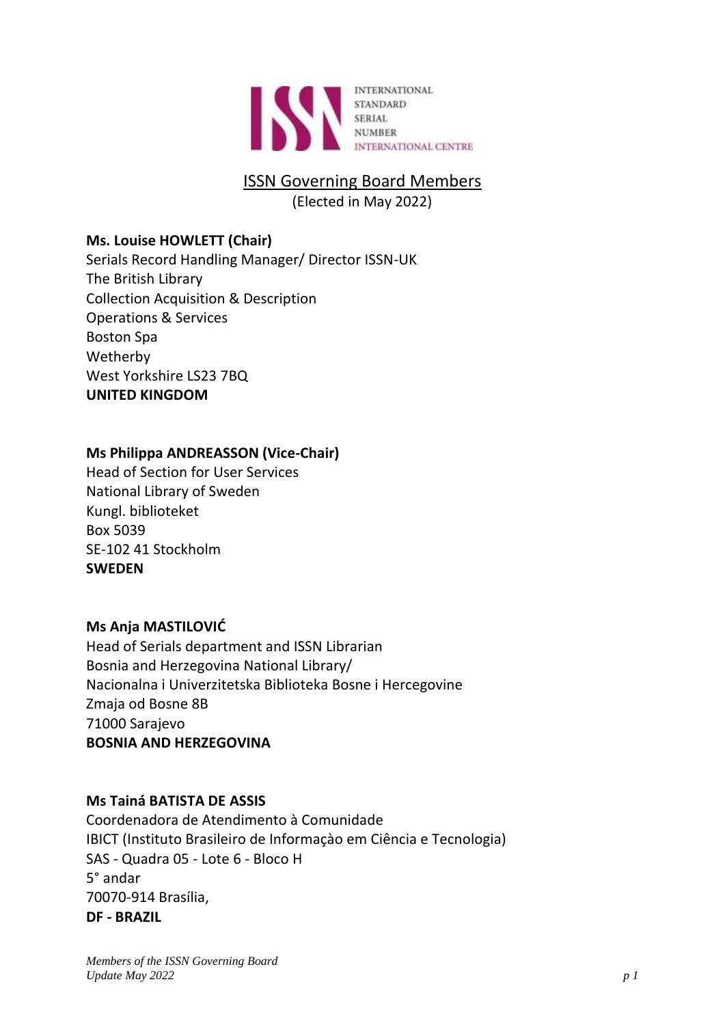

# ISSN Governing Board Members

(Elected in May 2022)

# **Ms. Louise HOWLETT (Chair)**

Serials Record Handling Manager/ Director ISSN-UK The British Library Collection Acquisition & Description Operations & Services Boston Spa Wetherby West Yorkshire LS23 7BQ **UNITED KINGDOM**

# **Ms Philippa ANDREASSON (Vice-Chair)**

Head of Section for User Services National Library of Sweden Kungl. biblioteket Box 5039 SE-102 41 Stockholm **SWEDEN**

# **Ms Anja MASTILOVIĆ**

Head of Serials department and ISSN Librarian Bosnia and Herzegovina National Library/ Nacionalna i Univerzitetska Biblioteka Bosne i Hercegovine Zmaja od Bosne 8B 71000 Sarajevo **BOSNIA AND HERZEGOVINA**

# **Ms Tainá BATISTA DE ASSIS**

Coordenadora de Atendimento à Comunidade IBICT (Instituto Brasileiro de Informaçào em Ciência e Tecnologia) SAS - Quadra 05 - Lote 6 - Bloco H 5° andar 70070-914 Brasília, **DF - BRAZIL**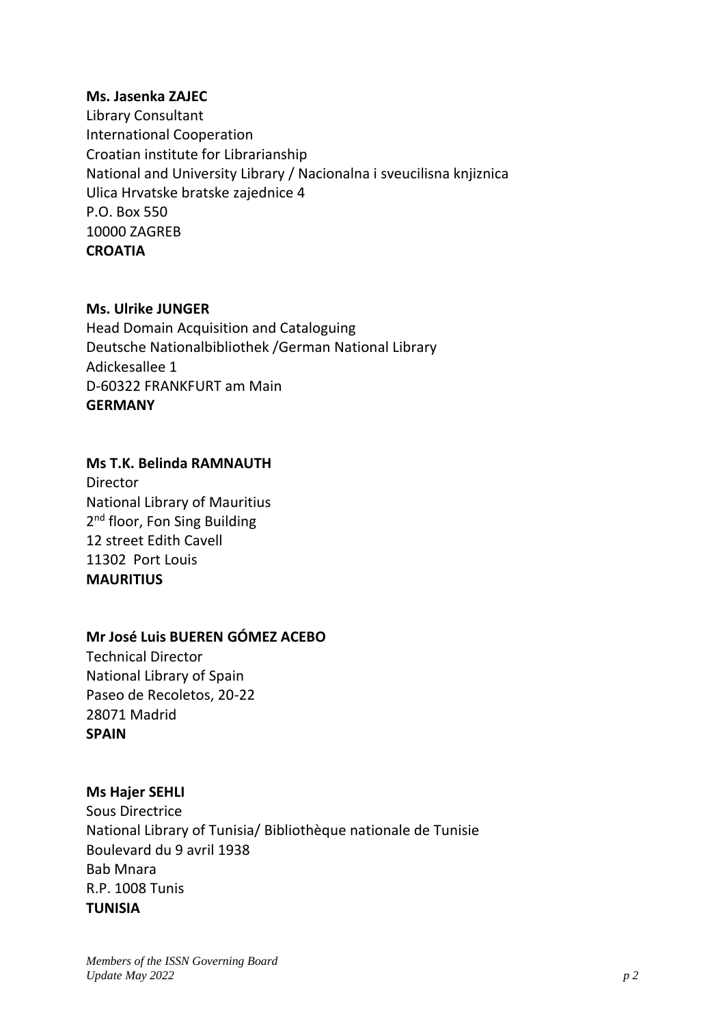#### **Ms. Jasenka ZAJEC**

Library Consultant International Cooperation Croatian institute for Librarianship National and University Library / Nacionalna i sveucilisna knjiznica Ulica Hrvatske bratske zajednice 4 P.O. Box 550 10000 ZAGREB **CROATIA**

#### **Ms. Ulrike JUNGER**

Head Domain Acquisition and Cataloguing Deutsche Nationalbibliothek /German National Library Adickesallee 1 D-60322 FRANKFURT am Main **GERMANY**

#### **Ms T.K. Belinda RAMNAUTH**

Director National Library of Mauritius 2<sup>nd</sup> floor, Fon Sing Building 12 street Edith Cavell 11302 Port Louis **MAURITIUS**

#### **Mr José Luis BUEREN GÓMEZ ACEBO**

Technical Director National Library of Spain Paseo de Recoletos, 20-22 28071 Madrid **SPAIN**

### **Ms Hajer SEHLI**

Sous Directrice National Library of Tunisia/ Bibliothèque nationale de Tunisie Boulevard du 9 avril 1938 Bab Mnara R.P. 1008 Tunis **TUNISIA**